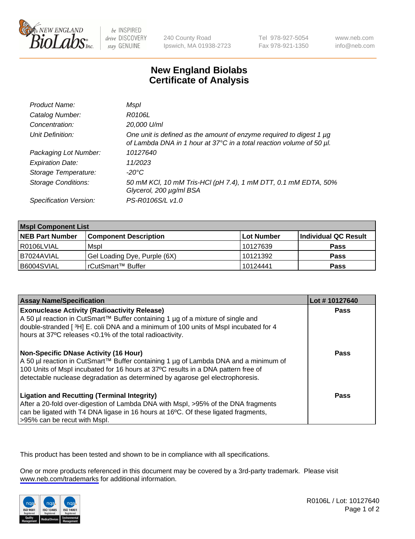

be INSPIRED drive DISCOVERY stay GENUINE

240 County Road Ipswich, MA 01938-2723 Tel 978-927-5054 Fax 978-921-1350

www.neb.com info@neb.com

## **New England Biolabs Certificate of Analysis**

| Product Name:              | Mspl                                                                                                                                        |
|----------------------------|---------------------------------------------------------------------------------------------------------------------------------------------|
| Catalog Number:            | R0106L                                                                                                                                      |
| Concentration:             | 20,000 U/ml                                                                                                                                 |
| Unit Definition:           | One unit is defined as the amount of enzyme required to digest 1 µg<br>of Lambda DNA in 1 hour at 37°C in a total reaction volume of 50 µl. |
| Packaging Lot Number:      | 10127640                                                                                                                                    |
| <b>Expiration Date:</b>    | 11/2023                                                                                                                                     |
| Storage Temperature:       | -20°C                                                                                                                                       |
| <b>Storage Conditions:</b> | 50 mM KCl, 10 mM Tris-HCl (pH 7.4), 1 mM DTT, 0.1 mM EDTA, 50%<br>Glycerol, 200 µg/ml BSA                                                   |
| Specification Version:     | PS-R0106S/L v1.0                                                                                                                            |

| <b>Mspl Component List</b> |                              |            |                      |  |  |
|----------------------------|------------------------------|------------|----------------------|--|--|
| <b>NEB Part Number</b>     | <b>Component Description</b> | Lot Number | Individual QC Result |  |  |
| l R0106LVIAL               | Mspl                         | 10127639   | <b>Pass</b>          |  |  |
| I B7024AVIAL               | Gel Loading Dye, Purple (6X) | 10121392   | <b>Pass</b>          |  |  |
| B6004SVIAL                 | l rCutSmart™ Buffer          | 10124441   | <b>Pass</b>          |  |  |

| <b>Assay Name/Specification</b>                                                                                                                                                                                                                                                                        | Lot #10127640 |
|--------------------------------------------------------------------------------------------------------------------------------------------------------------------------------------------------------------------------------------------------------------------------------------------------------|---------------|
| <b>Exonuclease Activity (Radioactivity Release)</b><br>A 50 µl reaction in CutSmart™ Buffer containing 1 µg of a mixture of single and<br>double-stranded [ <sup>3</sup> H] E. coli DNA and a minimum of 100 units of Mspl incubated for 4<br>hours at 37°C releases <0.1% of the total radioactivity. | Pass          |
| Non-Specific DNase Activity (16 Hour)<br>  A 50 µl reaction in CutSmart™ Buffer containing 1 µg of Lambda DNA and a minimum of<br>100 Units of Mspl incubated for 16 hours at 37°C results in a DNA pattern free of<br>detectable nuclease degradation as determined by agarose gel electrophoresis.   | <b>Pass</b>   |
| <b>Ligation and Recutting (Terminal Integrity)</b><br>After a 20-fold over-digestion of Lambda DNA with Mspl, >95% of the DNA fragments<br>can be ligated with T4 DNA ligase in 16 hours at 16 $^{\circ}$ C. Of these ligated fragments,<br>>95% can be recut with Mspl.                               | Pass          |

This product has been tested and shown to be in compliance with all specifications.

One or more products referenced in this document may be covered by a 3rd-party trademark. Please visit <www.neb.com/trademarks>for additional information.